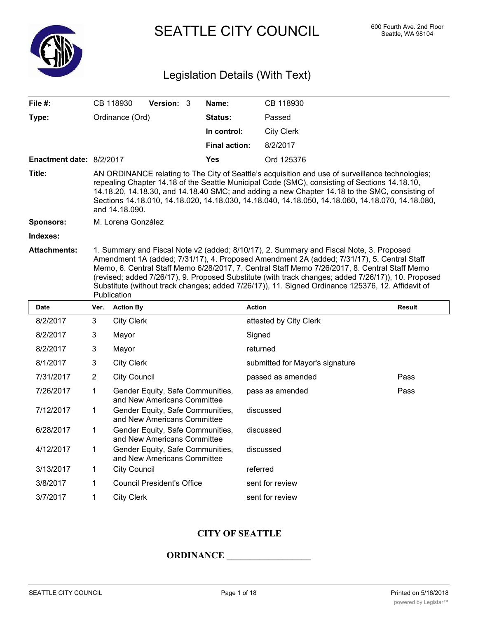

SEATTLE CITY COUNCIL 600 Fourth Ave. 2nd Floor

# Legislation Details (With Text)

| File #:                  |                            | CB 118930                                                                                                                                                                                                                                                                                                                                                                                                                                                                                                         | Version: 3                                                      |  | Name:                           | CB 118930              |               |  |  |
|--------------------------|----------------------------|-------------------------------------------------------------------------------------------------------------------------------------------------------------------------------------------------------------------------------------------------------------------------------------------------------------------------------------------------------------------------------------------------------------------------------------------------------------------------------------------------------------------|-----------------------------------------------------------------|--|---------------------------------|------------------------|---------------|--|--|
| Type:                    | Status:<br>Ordinance (Ord) |                                                                                                                                                                                                                                                                                                                                                                                                                                                                                                                   |                                                                 |  |                                 | Passed                 |               |  |  |
|                          |                            |                                                                                                                                                                                                                                                                                                                                                                                                                                                                                                                   |                                                                 |  | In control:                     | <b>City Clerk</b>      |               |  |  |
|                          |                            |                                                                                                                                                                                                                                                                                                                                                                                                                                                                                                                   |                                                                 |  | <b>Final action:</b>            | 8/2/2017               |               |  |  |
| Enactment date: 8/2/2017 |                            |                                                                                                                                                                                                                                                                                                                                                                                                                                                                                                                   |                                                                 |  | Yes                             | Ord 125376             |               |  |  |
| Title:                   |                            | AN ORDINANCE relating to The City of Seattle's acquisition and use of surveillance technologies;<br>repealing Chapter 14.18 of the Seattle Municipal Code (SMC), consisting of Sections 14.18.10,<br>14.18.20, 14.18.30, and 14.18.40 SMC; and adding a new Chapter 14.18 to the SMC, consisting of<br>Sections 14.18.010, 14.18.020, 14.18.030, 14.18.040, 14.18.050, 14.18.060, 14.18.070, 14.18.080,<br>and 14.18.090.                                                                                         |                                                                 |  |                                 |                        |               |  |  |
| <b>Sponsors:</b>         | M. Lorena González         |                                                                                                                                                                                                                                                                                                                                                                                                                                                                                                                   |                                                                 |  |                                 |                        |               |  |  |
| Indexes:                 |                            |                                                                                                                                                                                                                                                                                                                                                                                                                                                                                                                   |                                                                 |  |                                 |                        |               |  |  |
| Attachments:             |                            | 1. Summary and Fiscal Note v2 (added; 8/10/17), 2. Summary and Fiscal Note, 3. Proposed<br>Amendment 1A (added; 7/31/17), 4. Proposed Amendment 2A (added; 7/31/17), 5. Central Staff<br>Memo, 6. Central Staff Memo 6/28/2017, 7. Central Staff Memo 7/26/2017, 8. Central Staff Memo<br>(revised; added 7/26/17), 9. Proposed Substitute (with track changes; added 7/26/17)), 10. Proposed<br>Substitute (without track changes; added 7/26/17)), 11. Signed Ordinance 125376, 12. Affidavit of<br>Publication |                                                                 |  |                                 |                        |               |  |  |
| <b>Date</b>              | Ver.                       | <b>Action By</b>                                                                                                                                                                                                                                                                                                                                                                                                                                                                                                  |                                                                 |  |                                 | <b>Action</b>          | <b>Result</b> |  |  |
| 8/2/2017                 | 3                          | <b>City Clerk</b>                                                                                                                                                                                                                                                                                                                                                                                                                                                                                                 |                                                                 |  |                                 | attested by City Clerk |               |  |  |
| 8/2/2017                 | 3                          | Mayor                                                                                                                                                                                                                                                                                                                                                                                                                                                                                                             |                                                                 |  | Signed                          |                        |               |  |  |
| 8/2/2017                 | 3                          | Mayor                                                                                                                                                                                                                                                                                                                                                                                                                                                                                                             |                                                                 |  | returned                        |                        |               |  |  |
| 8/1/2017                 | 3                          | <b>City Clerk</b>                                                                                                                                                                                                                                                                                                                                                                                                                                                                                                 |                                                                 |  | submitted for Mayor's signature |                        |               |  |  |
| 7/31/2017                | $\overline{2}$             | <b>City Council</b>                                                                                                                                                                                                                                                                                                                                                                                                                                                                                               |                                                                 |  |                                 | passed as amended      | Pass          |  |  |
| 7/26/2017                | $\mathbf{1}$               |                                                                                                                                                                                                                                                                                                                                                                                                                                                                                                                   | Gender Equity, Safe Communities,<br>and New Americans Committee |  |                                 | pass as amended        | Pass          |  |  |
| 7/12/2017                | 1                          |                                                                                                                                                                                                                                                                                                                                                                                                                                                                                                                   | Gender Equity, Safe Communities,<br>and New Americans Committee |  |                                 | discussed              |               |  |  |
| 6/28/2017                | 1                          |                                                                                                                                                                                                                                                                                                                                                                                                                                                                                                                   | Gender Equity, Safe Communities,<br>and New Americans Committee |  |                                 | discussed              |               |  |  |
| 4/12/2017                | 1                          |                                                                                                                                                                                                                                                                                                                                                                                                                                                                                                                   | Gender Equity, Safe Communities,<br>and New Americans Committee |  |                                 | discussed              |               |  |  |
| 3/13/2017                | 1                          | <b>City Council</b>                                                                                                                                                                                                                                                                                                                                                                                                                                                                                               |                                                                 |  |                                 | referred               |               |  |  |
| 3/8/2017                 | 1                          |                                                                                                                                                                                                                                                                                                                                                                                                                                                                                                                   | <b>Council President's Office</b>                               |  |                                 | sent for review        |               |  |  |
| 3/7/2017                 | 1                          | <b>City Clerk</b>                                                                                                                                                                                                                                                                                                                                                                                                                                                                                                 |                                                                 |  |                                 | sent for review        |               |  |  |

# **CITY OF SEATTLE**

## **ORDINANCE \_\_\_\_\_\_\_\_\_\_\_\_\_\_\_\_\_\_**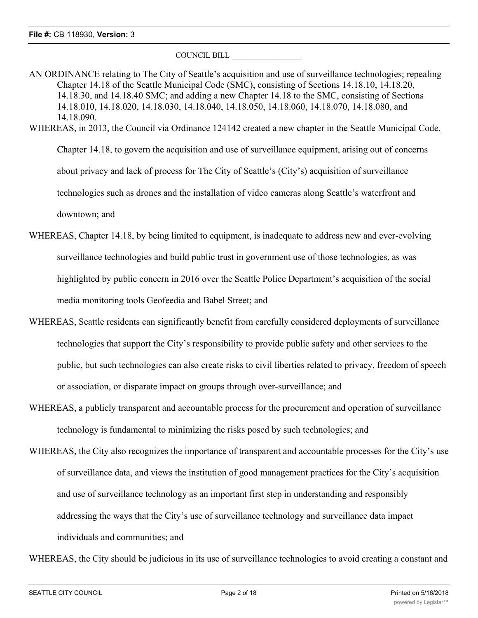COUNCIL BILL \_\_\_\_\_\_\_\_\_\_\_\_\_\_\_\_\_\_

AN ORDINANCE relating to The City of Seattle's acquisition and use of surveillance technologies; repealing Chapter 14.18 of the Seattle Municipal Code (SMC), consisting of Sections 14.18.10, 14.18.20, 14.18.30, and 14.18.40 SMC; and adding a new Chapter 14.18 to the SMC, consisting of Sections 14.18.010, 14.18.020, 14.18.030, 14.18.040, 14.18.050, 14.18.060, 14.18.070, 14.18.080, and 14.18.090. WHEREAS, in 2013, the Council via Ordinance 124142 created a new chapter in the Seattle Municipal Code, Chapter 14.18, to govern the acquisition and use of surveillance equipment, arising out of concerns

about privacy and lack of process for The City of Seattle's (City's) acquisition of surveillance

technologies such as drones and the installation of video cameras along Seattle's waterfront and

downtown; and

- WHEREAS, Chapter 14.18, by being limited to equipment, is inadequate to address new and ever-evolving surveillance technologies and build public trust in government use of those technologies, as was highlighted by public concern in 2016 over the Seattle Police Department's acquisition of the social media monitoring tools Geofeedia and Babel Street; and
- WHEREAS, Seattle residents can significantly benefit from carefully considered deployments of surveillance technologies that support the City's responsibility to provide public safety and other services to the public, but such technologies can also create risks to civil liberties related to privacy, freedom of speech or association, or disparate impact on groups through over-surveillance; and
- WHEREAS, a publicly transparent and accountable process for the procurement and operation of surveillance technology is fundamental to minimizing the risks posed by such technologies; and
- WHEREAS, the City also recognizes the importance of transparent and accountable processes for the City's use of surveillance data, and views the institution of good management practices for the City's acquisition and use of surveillance technology as an important first step in understanding and responsibly addressing the ways that the City's use of surveillance technology and surveillance data impact individuals and communities; and

WHEREAS, the City should be judicious in its use of surveillance technologies to avoid creating a constant and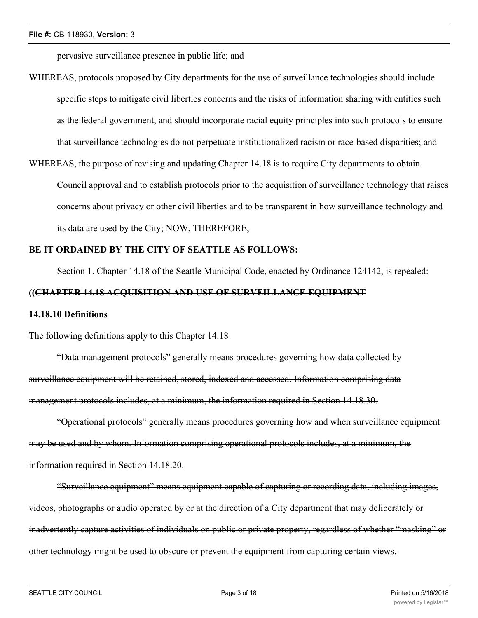pervasive surveillance presence in public life; and

- WHEREAS, protocols proposed by City departments for the use of surveillance technologies should include specific steps to mitigate civil liberties concerns and the risks of information sharing with entities such as the federal government, and should incorporate racial equity principles into such protocols to ensure that surveillance technologies do not perpetuate institutionalized racism or race-based disparities; and
- WHEREAS, the purpose of revising and updating Chapter 14.18 is to require City departments to obtain Council approval and to establish protocols prior to the acquisition of surveillance technology that raises concerns about privacy or other civil liberties and to be transparent in how surveillance technology and its data are used by the City; NOW, THEREFORE,

## **BE IT ORDAINED BY THE CITY OF SEATTLE AS FOLLOWS:**

Section 1. Chapter 14.18 of the Seattle Municipal Code, enacted by Ordinance 124142, is repealed:

## **((CHAPTER 14.18 ACQUISITION AND USE OF SURVEILLANCE EQUIPMENT**

## **14.18.10 Definitions**

## The following definitions apply to this Chapter 14.18

"Data management protocols" generally means procedures governing how data collected by surveillance equipment will be retained, stored, indexed and accessed. Information comprising data management protocols includes, at a minimum, the information required in Section 14.18.30.

"Operational protocols" generally means procedures governing how and when surveillance equipment may be used and by whom. Information comprising operational protocols includes, at a minimum, the information required in Section 14.18.20.

"Surveillance equipment" means equipment capable of capturing or recording data, including images, videos, photographs or audio operated by or at the direction of a City department that may deliberately or inadvertently capture activities of individuals on public or private property, regardless of whether "masking" or other technology might be used to obscure or prevent the equipment from capturing certain views.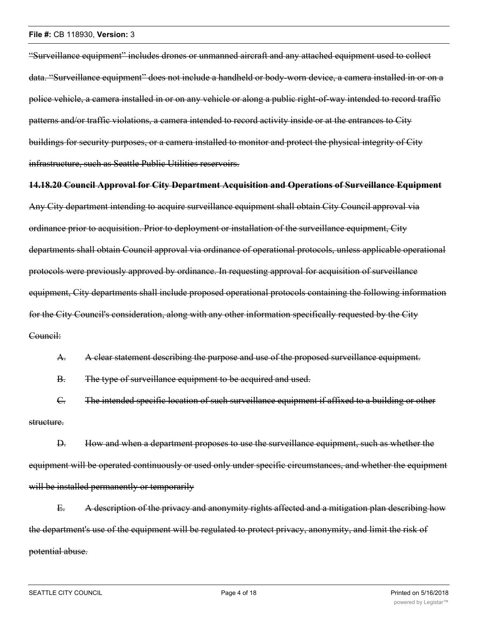"Surveillance equipment" includes drones or unmanned aircraft and any attached equipment used to collect data. "Surveillance equipment" does not include a handheld or body-worn device, a camera installed in or on a police vehicle, a camera installed in or on any vehicle or along a public right-of-way intended to record traffic patterns and/or traffic violations, a camera intended to record activity inside or at the entrances to City buildings for security purposes, or a camera installed to monitor and protect the physical integrity of City infrastructure, such as Seattle Public Utilities reservoirs.

**14.18.20 Council Approval for City Department Acquisition and Operations of Surveillance Equipment**

Any City department intending to acquire surveillance equipment shall obtain City Council approval via ordinance prior to acquisition. Prior to deployment or installation of the surveillance equipment, City departments shall obtain Council approval via ordinance of operational protocols, unless applicable operational protocols were previously approved by ordinance. In requesting approval for acquisition of surveillance equipment, City departments shall include proposed operational protocols containing the following information for the City Council's consideration, along with any other information specifically requested by the City Council:

A. A clear statement describing the purpose and use of the proposed surveillance equipment.

B. The type of surveillance equipment to be acquired and used.

C. The intended specific location of such surveillance equipment if affixed to a building or other structure.

D. How and when a department proposes to use the surveillance equipment, such as whether the equipment will be operated continuously or used only under specific circumstances, and whether the equipment will be installed permanently or temporarily

E. A description of the privacy and anonymity rights affected and a mitigation plan describing how the department's use of the equipment will be regulated to protect privacy, anonymity, and limit the risk of potential abuse.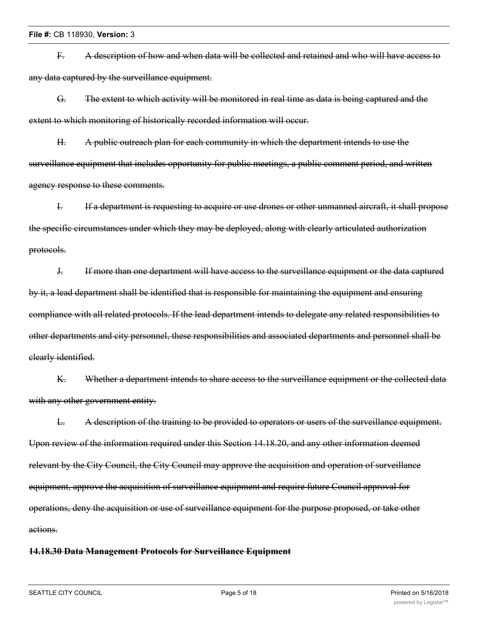F. A description of how and when data will be collected and retained and who will have access to any data captured by the surveillance equipment.

G. The extent to which activity will be monitored in real time as data is being captured and the extent to which monitoring of historically recorded information will occur.

H. A public outreach plan for each community in which the department intends to use the surveillance equipment that includes opportunity for public meetings, a public comment period, and written agency response to these comments.

I. If a department is requesting to acquire or use drones or other unmanned aircraft, it shall propose the specific circumstances under which they may be deployed, along with clearly articulated authorization protocols.

J. If more than one department will have access to the surveillance equipment or the data captured by it, a lead department shall be identified that is responsible for maintaining the equipment and ensuring compliance with all related protocols. If the lead department intends to delegate any related responsibilities to other departments and city personnel, these responsibilities and associated departments and personnel shall be clearly identified.

K. Whether a department intends to share access to the surveillance equipment or the collected data with any other government entity.

L. A description of the training to be provided to operators or users of the surveillance equipment. Upon review of the information required under this Section 14.18.20, and any other information deemed relevant by the City Council, the City Council may approve the acquisition and operation of surveillance equipment, approve the acquisition of surveillance equipment and require future Council approval for operations, deny the acquisition or use of surveillance equipment for the purpose proposed, or take other actions.

## **14.18.30 Data Management Protocols for Surveillance Equipment**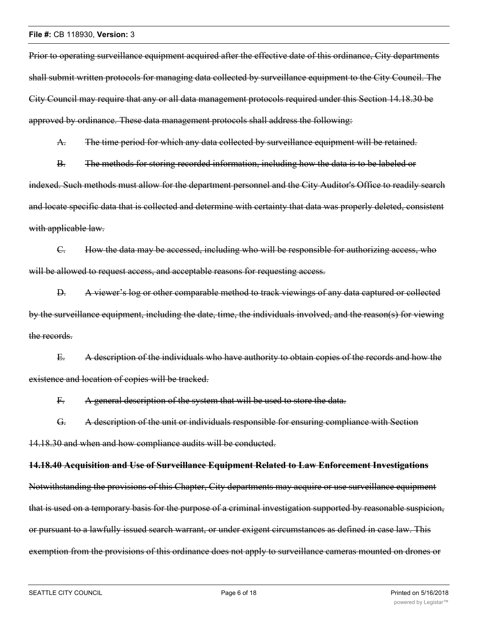Prior to operating surveillance equipment acquired after the effective date of this ordinance, City departments shall submit written protocols for managing data collected by surveillance equipment to the City Council. The City Council may require that any or all data management protocols required under this Section 14.18.30 be approved by ordinance. These data management protocols shall address the following:

A. The time period for which any data collected by surveillance equipment will be retained.

B. The methods for storing recorded information, including how the data is to be labeled or indexed. Such methods must allow for the department personnel and the City Auditor's Office to readily search and locate specific data that is collected and determine with certainty that data was properly deleted, consistent with applicable law.

C. How the data may be accessed, including who will be responsible for authorizing access, who will be allowed to request access, and acceptable reasons for requesting access.

D. A viewer's log or other comparable method to track viewings of any data captured or collected by the surveillance equipment, including the date, time, the individuals involved, and the reason(s) for viewing the records.

E. A description of the individuals who have authority to obtain copies of the records and how the existence and location of copies will be tracked.

F. A general description of the system that will be used to store the data.

G. A description of the unit or individuals responsible for ensuring compliance with Section

14.18.30 and when and how compliance audits will be conducted.

#### **14.18.40 Acquisition and Use of Surveillance Equipment Related to Law Enforcement Investigations**

Notwithstanding the provisions of this Chapter, City departments may acquire or use surveillance equipment that is used on a temporary basis for the purpose of a criminal investigation supported by reasonable suspicion, or pursuant to a lawfully issued search warrant, or under exigent circumstances as defined in case law. This exemption from the provisions of this ordinance does not apply to surveillance cameras mounted on drones or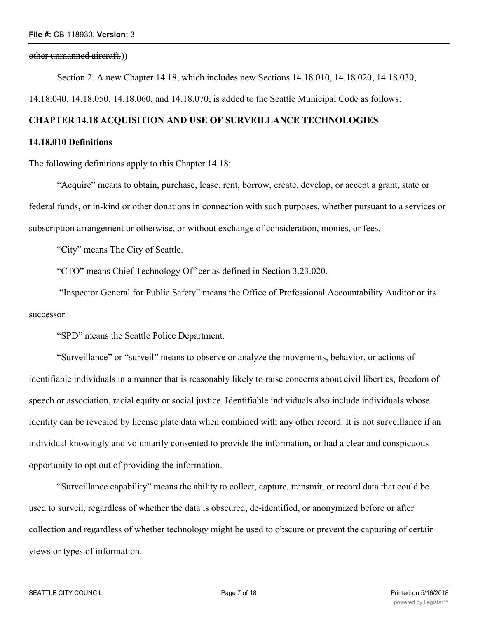#### other unmanned aircraft.))

Section 2. A new Chapter 14.18, which includes new Sections 14.18.010, 14.18.020, 14.18.030,

14.18.040, 14.18.050, 14.18.060, and 14.18.070, is added to the Seattle Municipal Code as follows:

## **CHAPTER 14.18 ACQUISITION AND USE OF SURVEILLANCE TECHNOLOGIES**

## **14.18.010 Definitions**

The following definitions apply to this Chapter 14.18:

"Acquire" means to obtain, purchase, lease, rent, borrow, create, develop, or accept a grant, state or federal funds, or in-kind or other donations in connection with such purposes, whether pursuant to a services or subscription arrangement or otherwise, or without exchange of consideration, monies, or fees.

"City" means The City of Seattle.

"CTO" means Chief Technology Officer as defined in Section 3.23.020.

 "Inspector General for Public Safety" means the Office of Professional Accountability Auditor or its successor.

"SPD" means the Seattle Police Department.

"Surveillance" or "surveil" means to observe or analyze the movements, behavior, or actions of identifiable individuals in a manner that is reasonably likely to raise concerns about civil liberties, freedom of speech or association, racial equity or social justice. Identifiable individuals also include individuals whose identity can be revealed by license plate data when combined with any other record. It is not surveillance if an individual knowingly and voluntarily consented to provide the information, or had a clear and conspicuous opportunity to opt out of providing the information.

"Surveillance capability" means the ability to collect, capture, transmit, or record data that could be used to surveil, regardless of whether the data is obscured, de-identified, or anonymized before or after collection and regardless of whether technology might be used to obscure or prevent the capturing of certain views or types of information.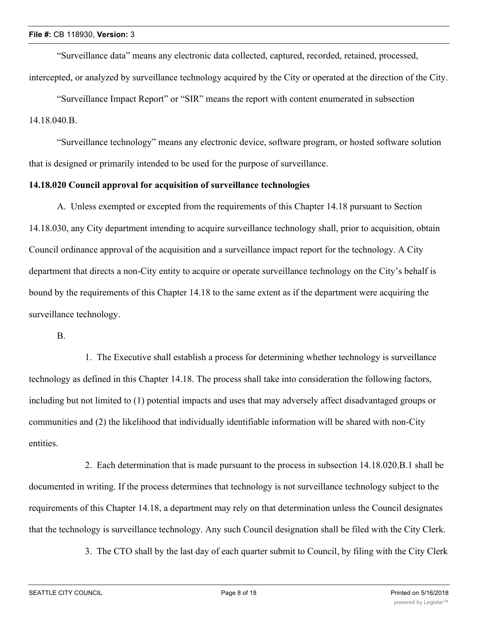"Surveillance data" means any electronic data collected, captured, recorded, retained, processed, intercepted, or analyzed by surveillance technology acquired by the City or operated at the direction of the City.

"Surveillance Impact Report" or "SIR" means the report with content enumerated in subsection

14.18.040.B.

"Surveillance technology" means any electronic device, software program, or hosted software solution that is designed or primarily intended to be used for the purpose of surveillance.

## **14.18.020 Council approval for acquisition of surveillance technologies**

A. Unless exempted or excepted from the requirements of this Chapter 14.18 pursuant to Section 14.18.030, any City department intending to acquire surveillance technology shall, prior to acquisition, obtain Council ordinance approval of the acquisition and a surveillance impact report for the technology. A City department that directs a non-City entity to acquire or operate surveillance technology on the City's behalf is bound by the requirements of this Chapter 14.18 to the same extent as if the department were acquiring the surveillance technology.

B.

1. The Executive shall establish a process for determining whether technology is surveillance technology as defined in this Chapter 14.18. The process shall take into consideration the following factors, including but not limited to (1) potential impacts and uses that may adversely affect disadvantaged groups or communities and (2) the likelihood that individually identifiable information will be shared with non-City entities.

2. Each determination that is made pursuant to the process in subsection 14.18.020.B.1 shall be documented in writing. If the process determines that technology is not surveillance technology subject to the requirements of this Chapter 14.18, a department may rely on that determination unless the Council designates that the technology is surveillance technology. Any such Council designation shall be filed with the City Clerk.

3. The CTO shall by the last day of each quarter submit to Council, by filing with the City Clerk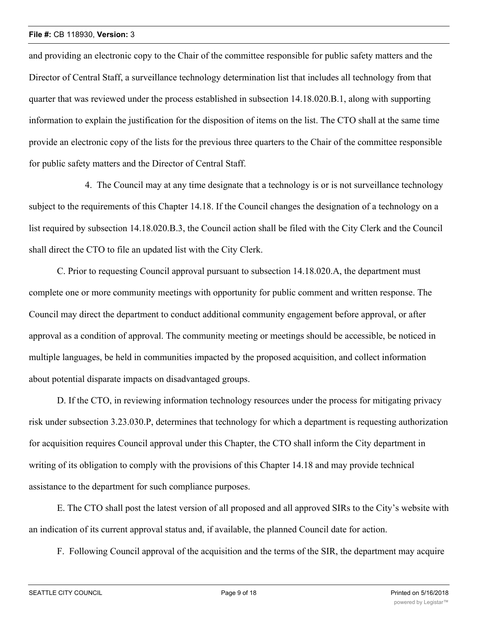and providing an electronic copy to the Chair of the committee responsible for public safety matters and the Director of Central Staff, a surveillance technology determination list that includes all technology from that quarter that was reviewed under the process established in subsection 14.18.020.B.1, along with supporting information to explain the justification for the disposition of items on the list. The CTO shall at the same time provide an electronic copy of the lists for the previous three quarters to the Chair of the committee responsible for public safety matters and the Director of Central Staff.

4. The Council may at any time designate that a technology is or is not surveillance technology subject to the requirements of this Chapter 14.18. If the Council changes the designation of a technology on a list required by subsection 14.18.020.B.3, the Council action shall be filed with the City Clerk and the Council shall direct the CTO to file an updated list with the City Clerk.

C. Prior to requesting Council approval pursuant to subsection 14.18.020.A, the department must complete one or more community meetings with opportunity for public comment and written response. The Council may direct the department to conduct additional community engagement before approval, or after approval as a condition of approval. The community meeting or meetings should be accessible, be noticed in multiple languages, be held in communities impacted by the proposed acquisition, and collect information about potential disparate impacts on disadvantaged groups.

D. If the CTO, in reviewing information technology resources under the process for mitigating privacy risk under subsection 3.23.030.P, determines that technology for which a department is requesting authorization for acquisition requires Council approval under this Chapter, the CTO shall inform the City department in writing of its obligation to comply with the provisions of this Chapter 14.18 and may provide technical assistance to the department for such compliance purposes.

E. The CTO shall post the latest version of all proposed and all approved SIRs to the City's website with an indication of its current approval status and, if available, the planned Council date for action.

F. Following Council approval of the acquisition and the terms of the SIR, the department may acquire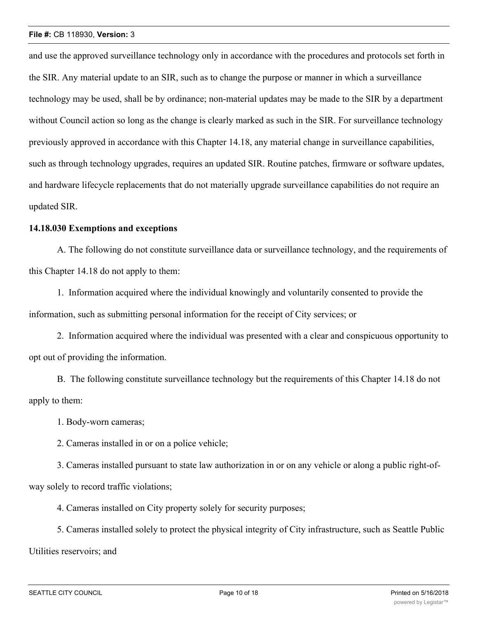and use the approved surveillance technology only in accordance with the procedures and protocols set forth in the SIR. Any material update to an SIR, such as to change the purpose or manner in which a surveillance technology may be used, shall be by ordinance; non-material updates may be made to the SIR by a department without Council action so long as the change is clearly marked as such in the SIR. For surveillance technology previously approved in accordance with this Chapter 14.18, any material change in surveillance capabilities, such as through technology upgrades, requires an updated SIR. Routine patches, firmware or software updates, and hardware lifecycle replacements that do not materially upgrade surveillance capabilities do not require an updated SIR.

## **14.18.030 Exemptions and exceptions**

A. The following do not constitute surveillance data or surveillance technology, and the requirements of this Chapter 14.18 do not apply to them:

1. Information acquired where the individual knowingly and voluntarily consented to provide the information, such as submitting personal information for the receipt of City services; or

2. Information acquired where the individual was presented with a clear and conspicuous opportunity to opt out of providing the information.

B. The following constitute surveillance technology but the requirements of this Chapter 14.18 do not apply to them:

1. Body-worn cameras;

2. Cameras installed in or on a police vehicle;

3. Cameras installed pursuant to state law authorization in or on any vehicle or along a public right-ofway solely to record traffic violations;

4. Cameras installed on City property solely for security purposes;

5. Cameras installed solely to protect the physical integrity of City infrastructure, such as Seattle Public Utilities reservoirs; and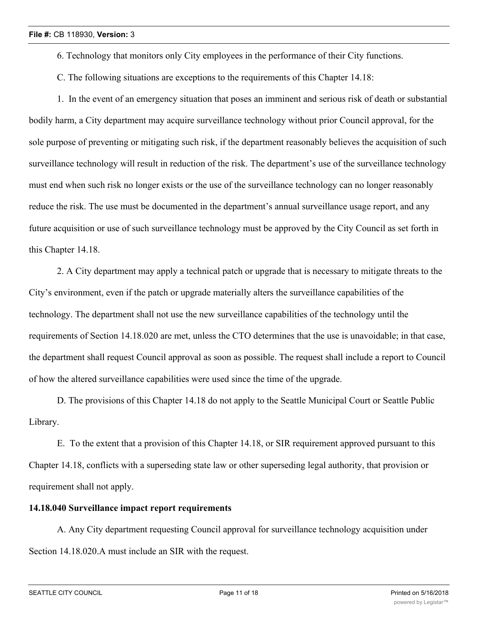- 6. Technology that monitors only City employees in the performance of their City functions.
- C. The following situations are exceptions to the requirements of this Chapter 14.18:

1. In the event of an emergency situation that poses an imminent and serious risk of death or substantial bodily harm, a City department may acquire surveillance technology without prior Council approval, for the sole purpose of preventing or mitigating such risk, if the department reasonably believes the acquisition of such surveillance technology will result in reduction of the risk. The department's use of the surveillance technology must end when such risk no longer exists or the use of the surveillance technology can no longer reasonably reduce the risk. The use must be documented in the department's annual surveillance usage report, and any future acquisition or use of such surveillance technology must be approved by the City Council as set forth in this Chapter 14.18.

2. A City department may apply a technical patch or upgrade that is necessary to mitigate threats to the City's environment, even if the patch or upgrade materially alters the surveillance capabilities of the technology. The department shall not use the new surveillance capabilities of the technology until the requirements of Section 14.18.020 are met, unless the CTO determines that the use is unavoidable; in that case, the department shall request Council approval as soon as possible. The request shall include a report to Council of how the altered surveillance capabilities were used since the time of the upgrade.

D. The provisions of this Chapter 14.18 do not apply to the Seattle Municipal Court or Seattle Public Library.

E. To the extent that a provision of this Chapter 14.18, or SIR requirement approved pursuant to this Chapter 14.18, conflicts with a superseding state law or other superseding legal authority, that provision or requirement shall not apply.

## **14.18.040 Surveillance impact report requirements**

A. Any City department requesting Council approval for surveillance technology acquisition under Section 14.18.020.A must include an SIR with the request.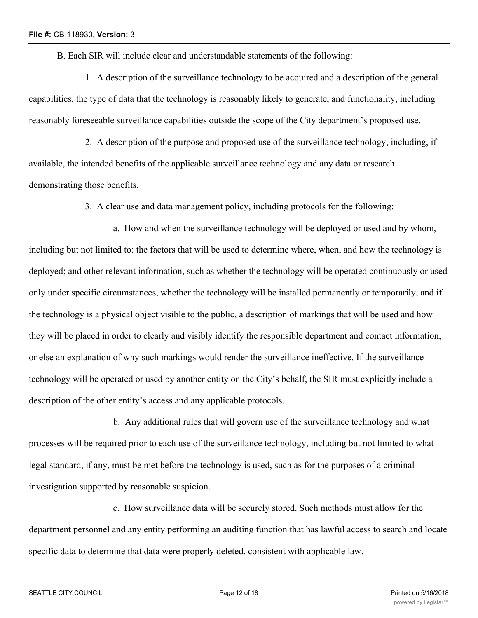B. Each SIR will include clear and understandable statements of the following:

1. A description of the surveillance technology to be acquired and a description of the general capabilities, the type of data that the technology is reasonably likely to generate, and functionality, including reasonably foreseeable surveillance capabilities outside the scope of the City department's proposed use.

2. A description of the purpose and proposed use of the surveillance technology, including, if available, the intended benefits of the applicable surveillance technology and any data or research demonstrating those benefits.

3. A clear use and data management policy, including protocols for the following:

a. How and when the surveillance technology will be deployed or used and by whom, including but not limited to: the factors that will be used to determine where, when, and how the technology is deployed; and other relevant information, such as whether the technology will be operated continuously or used only under specific circumstances, whether the technology will be installed permanently or temporarily, and if the technology is a physical object visible to the public, a description of markings that will be used and how they will be placed in order to clearly and visibly identify the responsible department and contact information, or else an explanation of why such markings would render the surveillance ineffective. If the surveillance technology will be operated or used by another entity on the City's behalf, the SIR must explicitly include a description of the other entity's access and any applicable protocols.

b. Any additional rules that will govern use of the surveillance technology and what processes will be required prior to each use of the surveillance technology, including but not limited to what legal standard, if any, must be met before the technology is used, such as for the purposes of a criminal investigation supported by reasonable suspicion.

c. How surveillance data will be securely stored. Such methods must allow for the department personnel and any entity performing an auditing function that has lawful access to search and locate specific data to determine that data were properly deleted, consistent with applicable law.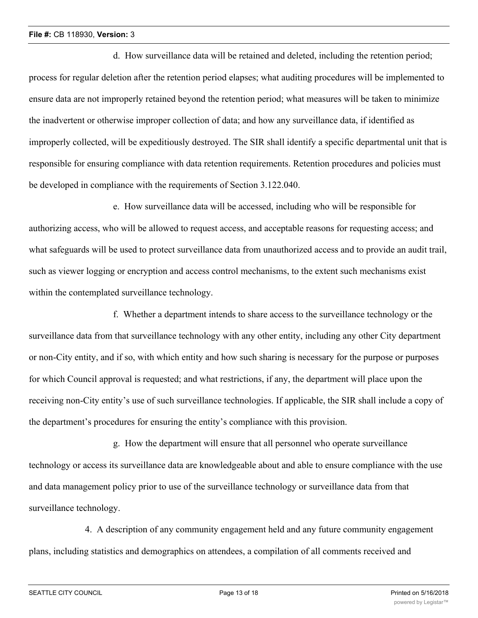d. How surveillance data will be retained and deleted, including the retention period; process for regular deletion after the retention period elapses; what auditing procedures will be implemented to ensure data are not improperly retained beyond the retention period; what measures will be taken to minimize the inadvertent or otherwise improper collection of data; and how any surveillance data, if identified as improperly collected, will be expeditiously destroyed. The SIR shall identify a specific departmental unit that is responsible for ensuring compliance with data retention requirements. Retention procedures and policies must be developed in compliance with the requirements of Section 3.122.040.

e. How surveillance data will be accessed, including who will be responsible for authorizing access, who will be allowed to request access, and acceptable reasons for requesting access; and what safeguards will be used to protect surveillance data from unauthorized access and to provide an audit trail, such as viewer logging or encryption and access control mechanisms, to the extent such mechanisms exist within the contemplated surveillance technology.

f. Whether a department intends to share access to the surveillance technology or the surveillance data from that surveillance technology with any other entity, including any other City department or non-City entity, and if so, with which entity and how such sharing is necessary for the purpose or purposes for which Council approval is requested; and what restrictions, if any, the department will place upon the receiving non-City entity's use of such surveillance technologies. If applicable, the SIR shall include a copy of the department's procedures for ensuring the entity's compliance with this provision.

g. How the department will ensure that all personnel who operate surveillance technology or access its surveillance data are knowledgeable about and able to ensure compliance with the use and data management policy prior to use of the surveillance technology or surveillance data from that surveillance technology.

4. A description of any community engagement held and any future community engagement plans, including statistics and demographics on attendees, a compilation of all comments received and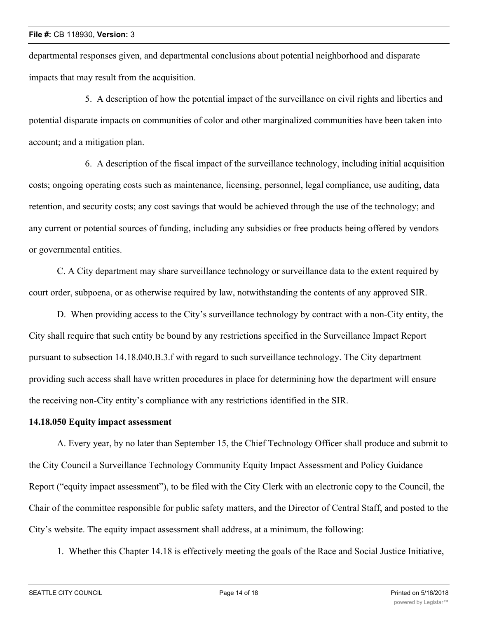departmental responses given, and departmental conclusions about potential neighborhood and disparate impacts that may result from the acquisition.

5. A description of how the potential impact of the surveillance on civil rights and liberties and potential disparate impacts on communities of color and other marginalized communities have been taken into account; and a mitigation plan.

6. A description of the fiscal impact of the surveillance technology, including initial acquisition costs; ongoing operating costs such as maintenance, licensing, personnel, legal compliance, use auditing, data retention, and security costs; any cost savings that would be achieved through the use of the technology; and any current or potential sources of funding, including any subsidies or free products being offered by vendors or governmental entities.

C. A City department may share surveillance technology or surveillance data to the extent required by court order, subpoena, or as otherwise required by law, notwithstanding the contents of any approved SIR.

D. When providing access to the City's surveillance technology by contract with a non-City entity, the City shall require that such entity be bound by any restrictions specified in the Surveillance Impact Report pursuant to subsection 14.18.040.B.3.f with regard to such surveillance technology. The City department providing such access shall have written procedures in place for determining how the department will ensure the receiving non-City entity's compliance with any restrictions identified in the SIR.

## **14.18.050 Equity impact assessment**

A. Every year, by no later than September 15, the Chief Technology Officer shall produce and submit to the City Council a Surveillance Technology Community Equity Impact Assessment and Policy Guidance Report ("equity impact assessment"), to be filed with the City Clerk with an electronic copy to the Council, the Chair of the committee responsible for public safety matters, and the Director of Central Staff, and posted to the City's website. The equity impact assessment shall address, at a minimum, the following:

1. Whether this Chapter 14.18 is effectively meeting the goals of the Race and Social Justice Initiative,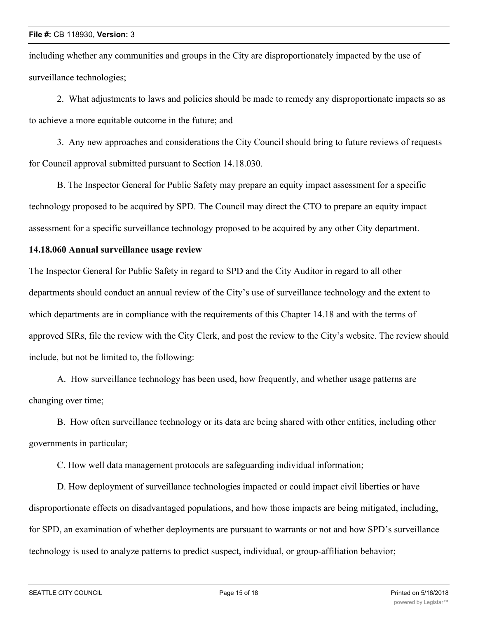including whether any communities and groups in the City are disproportionately impacted by the use of surveillance technologies;

2. What adjustments to laws and policies should be made to remedy any disproportionate impacts so as to achieve a more equitable outcome in the future; and

3. Any new approaches and considerations the City Council should bring to future reviews of requests for Council approval submitted pursuant to Section 14.18.030.

B. The Inspector General for Public Safety may prepare an equity impact assessment for a specific technology proposed to be acquired by SPD. The Council may direct the CTO to prepare an equity impact assessment for a specific surveillance technology proposed to be acquired by any other City department.

## **14.18.060 Annual surveillance usage review**

The Inspector General for Public Safety in regard to SPD and the City Auditor in regard to all other departments should conduct an annual review of the City's use of surveillance technology and the extent to which departments are in compliance with the requirements of this Chapter 14.18 and with the terms of approved SIRs, file the review with the City Clerk, and post the review to the City's website. The review should include, but not be limited to, the following:

A. How surveillance technology has been used, how frequently, and whether usage patterns are changing over time;

B. How often surveillance technology or its data are being shared with other entities, including other governments in particular;

C. How well data management protocols are safeguarding individual information;

D. How deployment of surveillance technologies impacted or could impact civil liberties or have disproportionate effects on disadvantaged populations, and how those impacts are being mitigated, including, for SPD, an examination of whether deployments are pursuant to warrants or not and how SPD's surveillance technology is used to analyze patterns to predict suspect, individual, or group-affiliation behavior;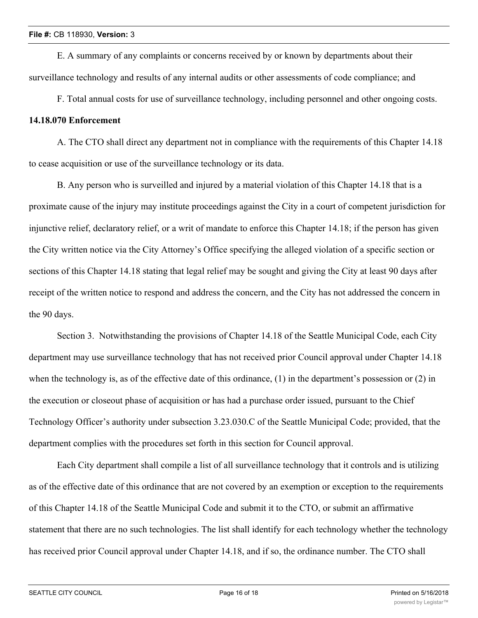E. A summary of any complaints or concerns received by or known by departments about their surveillance technology and results of any internal audits or other assessments of code compliance; and

F. Total annual costs for use of surveillance technology, including personnel and other ongoing costs.

## **14.18.070 Enforcement**

A. The CTO shall direct any department not in compliance with the requirements of this Chapter 14.18 to cease acquisition or use of the surveillance technology or its data.

B. Any person who is surveilled and injured by a material violation of this Chapter 14.18 that is a proximate cause of the injury may institute proceedings against the City in a court of competent jurisdiction for injunctive relief, declaratory relief, or a writ of mandate to enforce this Chapter 14.18; if the person has given the City written notice via the City Attorney's Office specifying the alleged violation of a specific section or sections of this Chapter 14.18 stating that legal relief may be sought and giving the City at least 90 days after receipt of the written notice to respond and address the concern, and the City has not addressed the concern in the 90 days.

Section 3. Notwithstanding the provisions of Chapter 14.18 of the Seattle Municipal Code, each City department may use surveillance technology that has not received prior Council approval under Chapter 14.18 when the technology is, as of the effective date of this ordinance, (1) in the department's possession or (2) in the execution or closeout phase of acquisition or has had a purchase order issued, pursuant to the Chief Technology Officer's authority under subsection 3.23.030.C of the Seattle Municipal Code; provided, that the department complies with the procedures set forth in this section for Council approval.

Each City department shall compile a list of all surveillance technology that it controls and is utilizing as of the effective date of this ordinance that are not covered by an exemption or exception to the requirements of this Chapter 14.18 of the Seattle Municipal Code and submit it to the CTO, or submit an affirmative statement that there are no such technologies. The list shall identify for each technology whether the technology has received prior Council approval under Chapter 14.18, and if so, the ordinance number. The CTO shall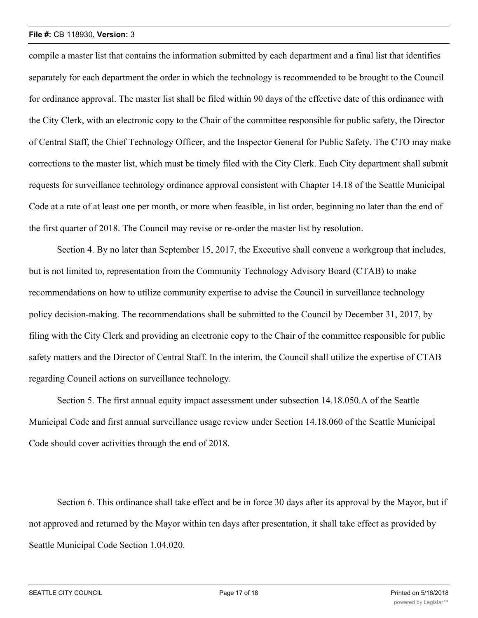compile a master list that contains the information submitted by each department and a final list that identifies separately for each department the order in which the technology is recommended to be brought to the Council for ordinance approval. The master list shall be filed within 90 days of the effective date of this ordinance with the City Clerk, with an electronic copy to the Chair of the committee responsible for public safety, the Director of Central Staff, the Chief Technology Officer, and the Inspector General for Public Safety. The CTO may make corrections to the master list, which must be timely filed with the City Clerk. Each City department shall submit requests for surveillance technology ordinance approval consistent with Chapter 14.18 of the Seattle Municipal Code at a rate of at least one per month, or more when feasible, in list order, beginning no later than the end of the first quarter of 2018. The Council may revise or re-order the master list by resolution.

Section 4. By no later than September 15, 2017, the Executive shall convene a workgroup that includes, but is not limited to, representation from the Community Technology Advisory Board (CTAB) to make recommendations on how to utilize community expertise to advise the Council in surveillance technology policy decision-making. The recommendations shall be submitted to the Council by December 31, 2017, by filing with the City Clerk and providing an electronic copy to the Chair of the committee responsible for public safety matters and the Director of Central Staff. In the interim, the Council shall utilize the expertise of CTAB regarding Council actions on surveillance technology.

Section 5. The first annual equity impact assessment under subsection 14.18.050.A of the Seattle Municipal Code and first annual surveillance usage review under Section 14.18.060 of the Seattle Municipal Code should cover activities through the end of 2018.

Section 6. This ordinance shall take effect and be in force 30 days after its approval by the Mayor, but if not approved and returned by the Mayor within ten days after presentation, it shall take effect as provided by Seattle Municipal Code Section 1.04.020.